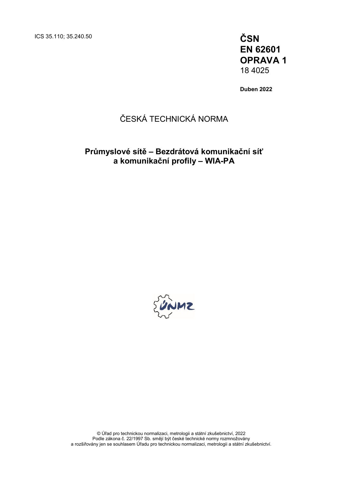ICS 35.110; 35.240.50 **ČSN**

**EN 62601 OPRAVA 1** 18 4025

**Duben 2022**

## ČESKÁ TECHNICKÁ NORMA

## **Průmyslové sítě – Bezdrátová komunikační síť a komunikační profily – WIA-PA**



© Úřad pro technickou normalizaci, metrologii a státní zkušebnictví, 2022 Podle zákona č. 22/1997 Sb. smějí být české technické normy rozmnožovány a rozšiřovány jen se souhlasem Úřadu pro technickou normalizaci, metrologii a státní zkušebnictví.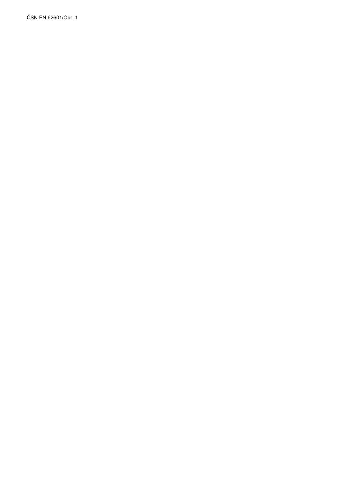ČSN EN 62601/Opr. 1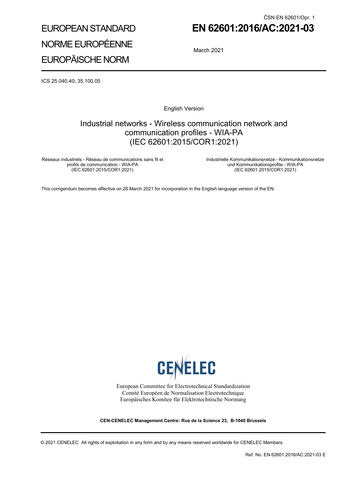# EUROPEAN STANDARD NORME EUROPÉENNE EUROPÄISCHE NORM

## **EN 62601:2016/AC:2021-03**

March 2021

ICS 25.040.40; 35.100.05

English Version

### Industrial networks - Wireless communication network and communication profiles - WIA-PA (IEC 62601:2015/COR1:2021)

Réseaux industriels - Réseau de communications sans fil et profils de communication - WIA-PA (IEC 62601:2015/COR1:2021)

 Industrielle Kommunikationsnetze - Kommunikationsnetze und Kommunikationsprofile - WIA-PA (IEC 62601:2015/COR1:2021)

This corrigendum becomes effective on 26 March 2021 for incorporation in the English language version of the EN.



European Committee for Electrotechnical Standardization Comité Européen de Normalisation Electrotechnique Europäisches Komitee für Elektrotechnische Normung

**CEN-CENELEC Management Centre: Rue de la Science 23, B-1040 Brussels** 

© 2021 CENELEC All rights of exploitation in any form and by any means reserved worldwide for CENELEC Members.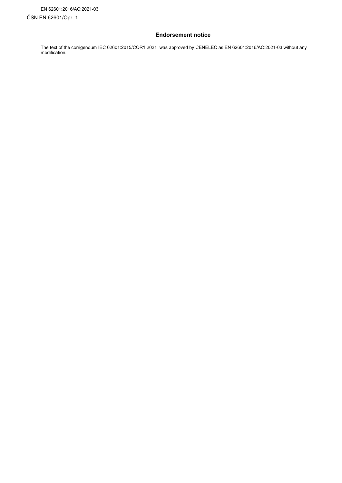EN 62601:2016/AC:2021-03 ČSN EN 62601/Opr. 1

#### **Endorsement notice**

The text of the corrigendum IEC 62601:2015/COR1:2021 was approved by CENELEC as EN 62601:2016/AC:2021-03 without any modification.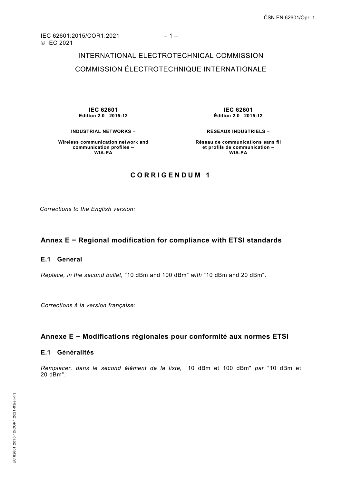IEC 62601:2015/COR1:2021 – 1 – © IEC 2021

\_\_\_\_\_\_\_\_\_\_\_\_

**IEC 62601 Edition 2.0 2015-12**

**INDUSTRIAL NETWORKS –** 

**Édition 2.0 2015-12 RÉSEAUX INDUSTRIELS –** 

**IEC 62601**

**Réseau de communications sans fil et profils de communication – WIA-PA**

**Wireless communication network and communication profiles – WIA-PA**

### **CORRIGENDUM 1**

*Corrections to the English version:*

#### **Annex E − Regional modification for compliance with ETSI standards**

#### **E.1 General**

*Replace, in the second bullet,* "10 dBm and 100 dBm" *with* "10 dBm and 20 dBm".

*Corrections à la version française:*

#### **Annexe E − Modifications régionales pour conformité aux normes ETSI**

#### **E.1 Généralités**

*Remplacer, dans le second élément de la liste,* "10 dBm et 100 dBm" *par* "10 dBm et 20 dBm".